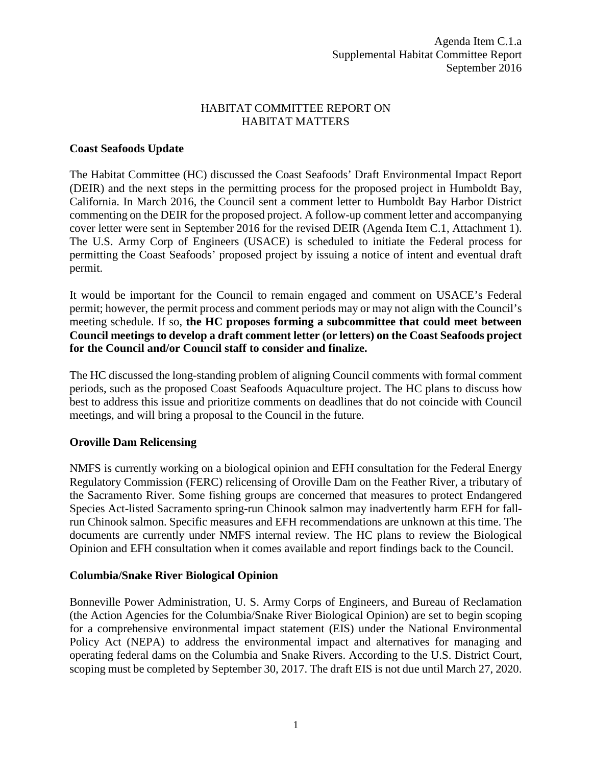## HABITAT COMMITTEE REPORT ON HABITAT MATTERS

#### **Coast Seafoods Update**

The Habitat Committee (HC) discussed the Coast Seafoods' Draft Environmental Impact Report (DEIR) and the next steps in the permitting process for the proposed project in Humboldt Bay, California. In March 2016, the Council sent a comment letter to Humboldt Bay Harbor District commenting on the DEIR for the proposed project. A follow-up comment letter and accompanying cover letter were sent in September 2016 for the revised DEIR (Agenda Item C.1, Attachment 1). The U.S. Army Corp of Engineers (USACE) is scheduled to initiate the Federal process for permitting the Coast Seafoods' proposed project by issuing a notice of intent and eventual draft permit.

It would be important for the Council to remain engaged and comment on USACE's Federal permit; however, the permit process and comment periods may or may not align with the Council's meeting schedule. If so, **the HC proposes forming a subcommittee that could meet between Council meetings to develop a draft comment letter (or letters) on the Coast Seafoods project for the Council and/or Council staff to consider and finalize.**

The HC discussed the long-standing problem of aligning Council comments with formal comment periods, such as the proposed Coast Seafoods Aquaculture project. The HC plans to discuss how best to address this issue and prioritize comments on deadlines that do not coincide with Council meetings, and will bring a proposal to the Council in the future.

## **Oroville Dam Relicensing**

NMFS is currently working on a biological opinion and EFH consultation for the Federal Energy Regulatory Commission (FERC) relicensing of Oroville Dam on the Feather River, a tributary of the Sacramento River. Some fishing groups are concerned that measures to protect Endangered Species Act-listed Sacramento spring-run Chinook salmon may inadvertently harm EFH for fallrun Chinook salmon. Specific measures and EFH recommendations are unknown at this time. The documents are currently under NMFS internal review. The HC plans to review the Biological Opinion and EFH consultation when it comes available and report findings back to the Council.

#### **Columbia/Snake River Biological Opinion**

Bonneville Power Administration, U. S. Army Corps of Engineers, and Bureau of Reclamation (the Action Agencies for the Columbia/Snake River Biological Opinion) are set to begin scoping for a comprehensive environmental impact statement (EIS) under the National Environmental Policy Act (NEPA) to address the environmental impact and alternatives for managing and operating federal dams on the Columbia and Snake Rivers. According to the U.S. District Court, scoping must be completed by September 30, 2017. The draft EIS is not due until March 27, 2020.